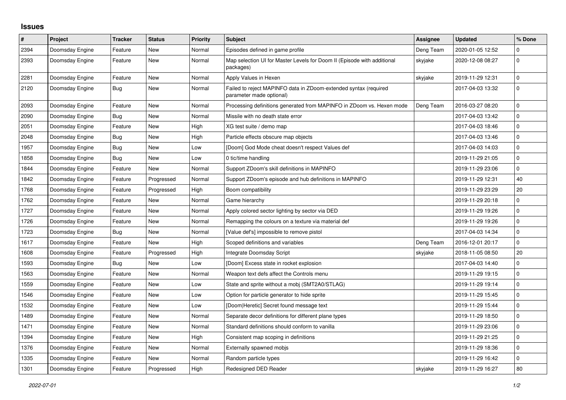## **Issues**

| $\vert$ # | Project         | <b>Tracker</b> | <b>Status</b> | <b>Priority</b> | <b>Subject</b>                                                                               | Assignee  | <b>Updated</b>   | % Done      |
|-----------|-----------------|----------------|---------------|-----------------|----------------------------------------------------------------------------------------------|-----------|------------------|-------------|
| 2394      | Doomsday Engine | Feature        | New           | Normal          | Episodes defined in game profile                                                             | Deng Team | 2020-01-05 12:52 | 0           |
| 2393      | Doomsday Engine | Feature        | <b>New</b>    | Normal          | Map selection UI for Master Levels for Doom II (Episode with additional<br>packages)         | skyjake   | 2020-12-08 08:27 | $\pmb{0}$   |
| 2281      | Doomsday Engine | Feature        | <b>New</b>    | Normal          | Apply Values in Hexen                                                                        | skyjake   | 2019-11-29 12:31 | $\pmb{0}$   |
| 2120      | Doomsday Engine | <b>Bug</b>     | <b>New</b>    | Normal          | Failed to reject MAPINFO data in ZDoom-extended syntax (required<br>parameter made optional) |           | 2017-04-03 13:32 | $\pmb{0}$   |
| 2093      | Doomsday Engine | Feature        | <b>New</b>    | Normal          | Processing definitions generated from MAPINFO in ZDoom vs. Hexen mode                        | Deng Team | 2016-03-27 08:20 | $\mathbf 0$ |
| 2090      | Doomsday Engine | Bug            | <b>New</b>    | Normal          | Missile with no death state error                                                            |           | 2017-04-03 13:42 | $\pmb{0}$   |
| 2051      | Doomsday Engine | Feature        | <b>New</b>    | High            | XG test suite / demo map                                                                     |           | 2017-04-03 18:46 | $\pmb{0}$   |
| 2048      | Doomsday Engine | Bug            | <b>New</b>    | High            | Particle effects obscure map objects                                                         |           | 2017-04-03 13:46 | $\pmb{0}$   |
| 1957      | Doomsday Engine | Bug            | New           | Low             | [Doom] God Mode cheat doesn't respect Values def                                             |           | 2017-04-03 14:03 | $\mathbf 0$ |
| 1858      | Doomsday Engine | Bug            | <b>New</b>    | Low             | 0 tic/time handling                                                                          |           | 2019-11-29 21:05 | $\pmb{0}$   |
| 1844      | Doomsday Engine | Feature        | <b>New</b>    | Normal          | Support ZDoom's skill definitions in MAPINFO                                                 |           | 2019-11-29 23:06 | $\mathbf 0$ |
| 1842      | Doomsday Engine | Feature        | Progressed    | Normal          | Support ZDoom's episode and hub definitions in MAPINFO                                       |           | 2019-11-29 12:31 | 40          |
| 1768      | Doomsday Engine | Feature        | Progressed    | High            | Boom compatibility                                                                           |           | 2019-11-29 23:29 | 20          |
| 1762      | Doomsday Engine | Feature        | <b>New</b>    | Normal          | Game hierarchy                                                                               |           | 2019-11-29 20:18 | $\pmb{0}$   |
| 1727      | Doomsday Engine | Feature        | New           | Normal          | Apply colored sector lighting by sector via DED                                              |           | 2019-11-29 19:26 | $\pmb{0}$   |
| 1726      | Doomsday Engine | Feature        | New           | Normal          | Remapping the colours on a texture via material def                                          |           | 2019-11-29 19:26 | $\mathbf 0$ |
| 1723      | Doomsday Engine | Bug            | <b>New</b>    | Normal          | [Value def's] impossible to remove pistol                                                    |           | 2017-04-03 14:34 | $\pmb{0}$   |
| 1617      | Doomsday Engine | Feature        | New           | High            | Scoped definitions and variables                                                             | Deng Team | 2016-12-01 20:17 | $\pmb{0}$   |
| 1608      | Doomsday Engine | Feature        | Progressed    | High            | Integrate Doomsday Script                                                                    | skyjake   | 2018-11-05 08:50 | 20          |
| 1593      | Doomsday Engine | Bug            | <b>New</b>    | Low             | [Doom] Excess state in rocket explosion                                                      |           | 2017-04-03 14:40 | $\pmb{0}$   |
| 1563      | Doomsday Engine | Feature        | <b>New</b>    | Normal          | Weapon text defs affect the Controls menu                                                    |           | 2019-11-29 19:15 | $\mathbf 0$ |
| 1559      | Doomsday Engine | Feature        | <b>New</b>    | Low             | State and sprite without a mobj (SMT2A0/STLAG)                                               |           | 2019-11-29 19:14 | $\pmb{0}$   |
| 1546      | Doomsday Engine | Feature        | <b>New</b>    | Low             | Option for particle generator to hide sprite                                                 |           | 2019-11-29 15:45 | $\mathbf 0$ |
| 1532      | Doomsday Engine | Feature        | New           | Low             | [Doom Heretic] Secret found message text                                                     |           | 2019-11-29 15:44 | $\pmb{0}$   |
| 1489      | Doomsday Engine | Feature        | New           | Normal          | Separate decor definitions for different plane types                                         |           | 2019-11-29 18:50 | $\mathbf 0$ |
| 1471      | Doomsday Engine | Feature        | <b>New</b>    | Normal          | Standard definitions should conform to vanilla                                               |           | 2019-11-29 23:06 | $\pmb{0}$   |
| 1394      | Doomsday Engine | Feature        | New           | High            | Consistent map scoping in definitions                                                        |           | 2019-11-29 21:25 | $\pmb{0}$   |
| 1376      | Doomsday Engine | Feature        | New           | Normal          | Externally spawned mobjs                                                                     |           | 2019-11-29 18:36 | $\mathbf 0$ |
| 1335      | Doomsday Engine | Feature        | <b>New</b>    | Normal          | Random particle types                                                                        |           | 2019-11-29 16:42 | $\pmb{0}$   |
| 1301      | Doomsday Engine | Feature        | Progressed    | High            | Redesigned DED Reader                                                                        | skyjake   | 2019-11-29 16:27 | 80          |